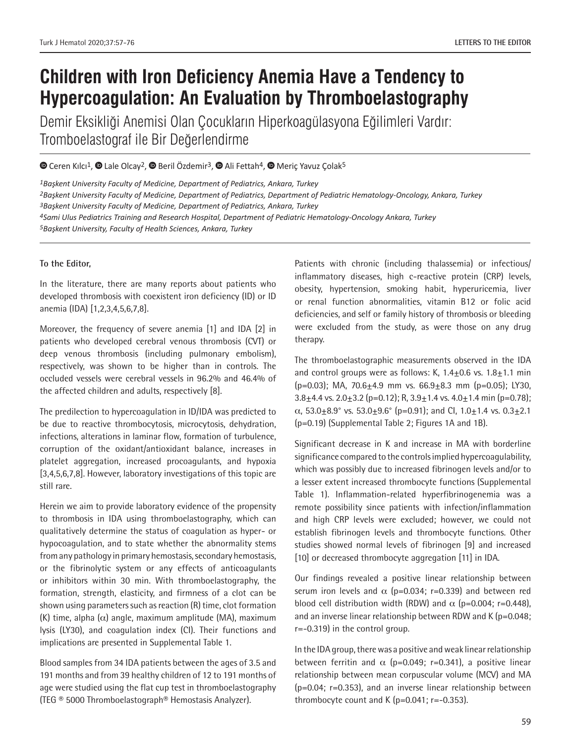# **Children with Iron Deficiency Anemia Have a Tendency to Hypercoagulation: An Evaluation by Thromboelastography**

Demir Eksikliği Anemisi Olan Çocukların Hiperkoagülasyona Eğilimleri Vardır: Tromboelastograf ile Bir Değerlendirme

 $\bullet$ Ceren Kılcı<sup>1</sup>,  $\bullet$  Lale Olcay<sup>2</sup>,  $\bullet$  Beril Özdemir<sup>3</sup>,  $\bullet$  Ali Fettah<sup>4</sup>,  $\bullet$  Meric Yavuz Çolak<sup>5</sup>

*Başkent University Faculty of Medicine, Department of Pediatrics, Ankara, Turkey Başkent University Faculty of Medicine, Department of Pediatrics, Department of Pediatric Hematology-Oncology, Ankara, Turkey Başkent University Faculty of Medicine, Department of Pediatrics, Ankara, Turkey Sami Ulus Pediatrics Training and Research Hospital, Department of Pediatric Hematology-Oncology Ankara, Turkey Başkent University, Faculty of Health Sciences, Ankara, Turkey*

### **To the Editor,**

In the literature, there are many reports about patients who developed thrombosis with coexistent iron deficiency (ID) or ID anemia (IDA) [1,2,3,4,5,6,7,8].

Moreover, the frequency of severe anemia [1] and IDA [2] in patients who developed cerebral venous thrombosis (CVT) or deep venous thrombosis (including pulmonary embolism), respectively, was shown to be higher than in controls. The occluded vessels were cerebral vessels in 96.2% and 46.4% of the affected children and adults, respectively [8].

The predilection to hypercoagulation in ID/IDA was predicted to be due to reactive thrombocytosis, microcytosis, dehydration, infections, alterations in laminar flow, formation of turbulence, corruption of the oxidant/antioxidant balance, increases in platelet aggregation, increased procoagulants, and hypoxia [3,4,5,6,7,8]. However, laboratory investigations of this topic are still rare.

Herein we aim to provide laboratory evidence of the propensity to thrombosis in IDA using thromboelastography, which can qualitatively determine the status of coagulation as hyper- or hypocoagulation, and to state whether the abnormality stems from any pathology in primary hemostasis, secondary hemostasis, or the fibrinolytic system or any effects of anticoagulants or inhibitors within 30 min. With thromboelastography, the formation, strength, elasticity, and firmness of a clot can be shown using parameters such as reaction (R) time, clot formation (K) time, alpha ( $\alpha$ ) angle, maximum amplitude (MA), maximum lysis (LY30), and coagulation index (CI). Their functions and implications are presented in Supplemental Table 1.

Blood samples from 34 IDA patients between the ages of 3.5 and 191 months and from 39 healthy children of 12 to 191 months of age were studied using the flat cup test in thromboelastography (TEG ® 5000 Thromboelastograph® Hemostasis Analyzer).

Patients with chronic (including thalassemia) or infectious/ inflammatory diseases, high c-reactive protein (CRP) levels, obesity, hypertension, smoking habit, hyperuricemia, liver or renal function abnormalities, vitamin B12 or folic acid deficiencies, and self or family history of thrombosis or bleeding were excluded from the study, as were those on any drug therapy.

The thromboelastographic measurements observed in the IDA and control groups were as follows: K,  $1.4 \pm 0.6$  vs.  $1.8 \pm 1.1$  min  $(p=0.03)$ ; MA, 70.6 $\pm$ 4.9 mm vs. 66.9 $\pm$ 8.3 mm (p=0.05); LY30,  $3.8\pm4.4$  vs.  $2.0\pm3.2$  (p=0.12); R,  $3.9\pm1.4$  vs.  $4.0\pm1.4$  min (p=0.78);  $\alpha$ , 53.0 $\pm$ 8.9° vs. 53.0 $\pm$ 9.6° (p=0.91); and Cl, 1.0 $\pm$ 1.4 vs. 0.3 $\pm$ 2.1 (p=0.19) (Supplemental Table 2; Figures 1A and 1B).

Significant decrease in K and increase in MA with borderline significance compared to the controls implied hypercoagulability, which was possibly due to increased fibrinogen levels and/or to a lesser extent increased thrombocyte functions (Supplemental Table 1). Inflammation-related hyperfibrinogenemia was a remote possibility since patients with infection/inflammation and high CRP levels were excluded; however, we could not establish fibrinogen levels and thrombocyte functions. Other studies showed normal levels of fibrinogen [9] and increased [10] or decreased thrombocyte aggregation [11] in IDA.

Our findings revealed a positive linear relationship between serum iron levels and  $\alpha$  (p=0.034; r=0.339) and between red blood cell distribution width (RDW) and  $\alpha$  (p=0.004; r=0.448), and an inverse linear relationship between RDW and K (p=0.048; r=-0.319) in the control group.

In the IDA group, there was a positive and weak linear relationship between ferritin and  $\alpha$  (p=0.049; r=0.341), a positive linear relationship between mean corpuscular volume (MCV) and MA (p=0.04; r=0.353), and an inverse linear relationship between thrombocyte count and K  $(p=0.041; r=-0.353)$ .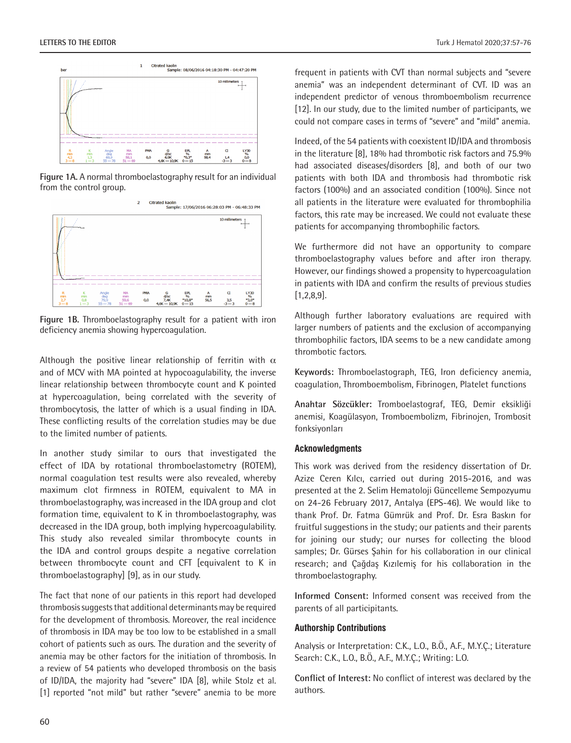

**Figure 1A.** A normal thromboelastography result for an individual from the control group.



**Figure 1B.** Thromboelastography result for a patient with iron deficiency anemia showing hypercoagulation.

Although the positive linear relationship of ferritin with  $\alpha$ and of MCV with MA pointed at hypocoagulability, the inverse linear relationship between thrombocyte count and K pointed at hypercoagulation, being correlated with the severity of thrombocytosis, the latter of which is a usual finding in IDA. These conflicting results of the correlation studies may be due to the limited number of patients.

In another study similar to ours that investigated the effect of IDA by rotational thromboelastometry (ROTEM), normal coagulation test results were also revealed, whereby maximum clot firmness in ROTEM, equivalent to MA in thromboelastography, was increased in the IDA group and clot formation time, equivalent to K in thromboelastography, was decreased in the IDA group, both implying hypercoagulability. This study also revealed similar thrombocyte counts in the IDA and control groups despite a negative correlation between thrombocyte count and CFT [equivalent to K in thromboelastography] [9], as in our study.

The fact that none of our patients in this report had developed thrombosis suggests that additional determinants may be required for the development of thrombosis. Moreover, the real incidence of thrombosis in IDA may be too low to be established in a small cohort of patients such as ours. The duration and the severity of anemia may be other factors for the initiation of thrombosis. In a review of 54 patients who developed thrombosis on the basis of ID/IDA, the majority had "severe" IDA [8], while Stolz et al. [1] reported "not mild" but rather "severe" anemia to be more frequent in patients with CVT than normal subjects and "severe anemia" was an independent determinant of CVT. ID was an independent predictor of venous thromboembolism recurrence [12]. In our study, due to the limited number of participants, we could not compare cases in terms of "severe" and "mild" anemia.

Indeed, of the 54 patients with coexistent ID/IDA and thrombosis in the literature [8], 18% had thrombotic risk factors and 75.9% had associated diseases/disorders [8], and both of our two patients with both IDA and thrombosis had thrombotic risk factors (100%) and an associated condition (100%). Since not all patients in the literature were evaluated for thrombophilia factors, this rate may be increased. We could not evaluate these patients for accompanying thrombophilic factors.

We furthermore did not have an opportunity to compare thromboelastography values before and after iron therapy. However, our findings showed a propensity to hypercoagulation in patients with IDA and confirm the results of previous studies [1,2,8,9].

Although further laboratory evaluations are required with larger numbers of patients and the exclusion of accompanying thrombophilic factors, IDA seems to be a new candidate among thrombotic factors.

**Keywords:** Thromboelastograph, TEG, Iron deficiency anemia, coagulation, Thromboembolism, Fibrinogen, Platelet functions

**Anahtar Sözcükler:** Tromboelastograf, TEG, Demir eksikliği anemisi, Koagülasyon, Tromboembolizm, Fibrinojen, Trombosit fonksiyonları

#### **Acknowledgments**

This work was derived from the residency dissertation of Dr. Azize Ceren Kılcı, carried out during 2015-2016, and was presented at the 2. Selim Hematoloji Güncelleme Sempozyumu on 24-26 February 2017, Antalya (EPS-46). We would like to thank Prof. Dr. Fatma Gümrük and Prof. Dr. Esra Baskın for fruitful suggestions in the study; our patients and their parents for joining our study; our nurses for collecting the blood samples; Dr. Gürses Şahin for his collaboration in our clinical research; and Çağdaş Kızılemiş for his collaboration in the thromboelastography.

**Informed Consent:** Informed consent was received from the parents of all participitants.

#### **Authorship Contributions**

Analysis or Interpretation: C.K., L.O., B.Ö., A.F., M.Y.Ç.; Literature Search: C.K., L.O., B.Ö., A.F., M.Y.Ç.; Writing: L.O.

**Conflict of Interest:** No conflict of interest was declared by the authors.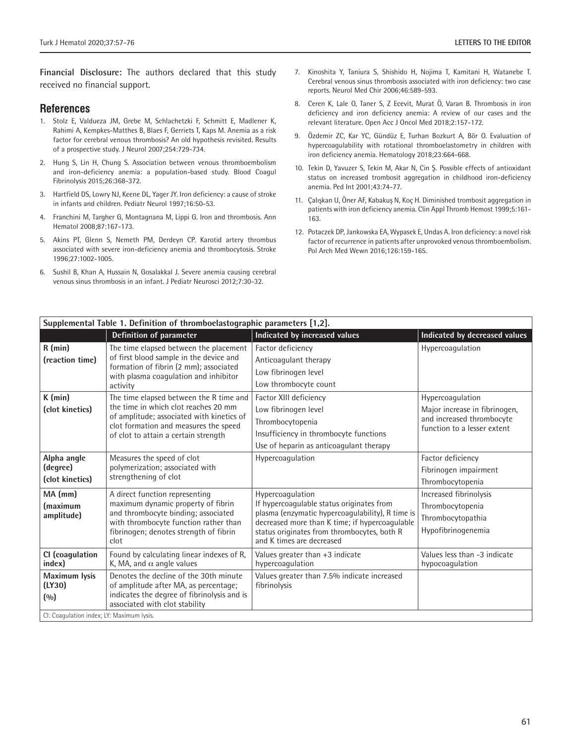**Financial Disclosure:** The authors declared that this study received no financial support.

#### **References**

- 1. Stolz E, Valdueza JM, Grebe M, Schlachetzki F, Schmitt E, Madlener K, Rahimi A, Kempkes-Matthes B, Blaes F, Gerriets T, Kaps M. Anemia as a risk factor for cerebral venous thrombosis? An old hypothesis revisited. Results of a prospective study. J Neurol 2007;254:729-734.
- 2. Hung S, Lin H, Chung S. Association between venous thromboembolism and iron-deficiency anemia: a population-based study. Blood Coagul Fibrinolysis 2015;26:368-372.
- 3. Hartfield DS, Lowry NJ, Keene DL, Yager JY. Iron deficiency: a cause of stroke in infants and children. Pediatr Neurol 1997;16:50-53.
- 4. Franchini M, Targher G, Montagnana M, Lippi G. Iron and thrombosis. Ann Hematol 2008;87:167-173.
- 5. Akins PT, Glenn S, Nemeth PM, Derdeyn CP. Karotid artery thrombus associated with severe iron-deficiency anemia and thrombocytosis. Stroke 1996;27:1002-1005.
- 6. Sushil B, Khan A, Hussain N, Gosalakkal J. Severe anemia causing cerebral venous sinus thrombosis in an infant. J Pediatr Neurosci 2012;7:30-32.
- 7. Kinoshita Y, Taniura S, Shishido H, Nojima T, Kamitani H, Watanebe T. Cerebral venous sinus thrombosis associated with iron deficiency: two case reports. Neurol Med Chir 2006;46:589-593.
- 8. Ceren K, Lale O, Taner S, Z Ecevit, Murat Ö, Varan B. Thrombosis in iron deficiency and iron deficiency anemia: A review of our cases and the relevant literature. Open Acc J Oncol Med 2018;2:157-172.
- 9. Özdemir ZC, Kar YC, Gündüz E, Turhan Bozkurt A, Bör O. Evaluation of hypercoagulability with rotational thromboelastometry in children with iron deficiency anemia. Hematology 2018;23:664-668.
- 10. Tekin D, Yavuzer S, Tekin M, Akar N, Cin Ş. Possible effects of antioxidant status on increased trombosit aggregation in childhood iron-deficiency anemia. Ped Int 2001;43:74-77.
- 11. Çalışkan U, Öner AF, Kabakuş N, Koç H. Diminished trombosit aggregation in patients with iron deficiency anemia. Clin Appl Thromb Hemost 1999;5:161- 163.
- 12. Potaczek DP, Jankowska EA, Wypasek E, Undas A. Iron deficiency: a novel risk factor of recurrence in patients after unprovoked venous thromboembolism. Pol Arch Med Wewn 2016;126:159-165.

| Supplemental Table 1. Definition of thromboelastographic parameters [1,2]. |                                                                                                                                                                                                        |                                                                                                                                                                                                                    |                                                                                           |  |  |  |  |
|----------------------------------------------------------------------------|--------------------------------------------------------------------------------------------------------------------------------------------------------------------------------------------------------|--------------------------------------------------------------------------------------------------------------------------------------------------------------------------------------------------------------------|-------------------------------------------------------------------------------------------|--|--|--|--|
|                                                                            | Definition of parameter                                                                                                                                                                                | Indicated by increased values                                                                                                                                                                                      | Indicated by decreased values                                                             |  |  |  |  |
| $R$ (min)                                                                  | The time elapsed between the placement                                                                                                                                                                 | Factor deficiency                                                                                                                                                                                                  | Hypercoagulation                                                                          |  |  |  |  |
| (reaction time)                                                            | of first blood sample in the device and<br>formation of fibrin (2 mm); associated<br>with plasma coagulation and inhibitor<br>activity                                                                 | Anticoagulant therapy                                                                                                                                                                                              |                                                                                           |  |  |  |  |
|                                                                            |                                                                                                                                                                                                        | Low fibrinogen level                                                                                                                                                                                               |                                                                                           |  |  |  |  |
|                                                                            |                                                                                                                                                                                                        | Low thrombocyte count                                                                                                                                                                                              |                                                                                           |  |  |  |  |
| K (min)                                                                    | The time elapsed between the R time and                                                                                                                                                                | Factor XIII deficiency                                                                                                                                                                                             | Hypercoagulation                                                                          |  |  |  |  |
| (clot kinetics)                                                            | the time in which clot reaches 20 mm<br>of amplitude; associated with kinetics of<br>clot formation and measures the speed<br>of clot to attain a certain strength                                     | Low fibrinogen level                                                                                                                                                                                               | Major increase in fibrinogen,<br>and increased thrombocyte<br>function to a lesser extent |  |  |  |  |
|                                                                            |                                                                                                                                                                                                        | Thrombocytopenia                                                                                                                                                                                                   |                                                                                           |  |  |  |  |
|                                                                            |                                                                                                                                                                                                        | Insufficiency in thrombocyte functions                                                                                                                                                                             |                                                                                           |  |  |  |  |
|                                                                            |                                                                                                                                                                                                        | Use of heparin as anticoagulant therapy                                                                                                                                                                            |                                                                                           |  |  |  |  |
| Alpha angle                                                                | Measures the speed of clot                                                                                                                                                                             | Hypercoagulation                                                                                                                                                                                                   | Factor deficiency                                                                         |  |  |  |  |
| (degree)                                                                   | polymerization; associated with                                                                                                                                                                        |                                                                                                                                                                                                                    | Fibrinogen impairment                                                                     |  |  |  |  |
| (clot kinetics)                                                            | strengthening of clot                                                                                                                                                                                  |                                                                                                                                                                                                                    | Thrombocytopenia                                                                          |  |  |  |  |
| $MA$ (mm)                                                                  | A direct function representing<br>maximum dynamic property of fibrin<br>and thrombocyte binding; associated<br>with thrombocyte function rather than<br>fibrinogen; denotes strength of fibrin<br>clot | Hypercoagulation<br>If hypercoagulable status originates from<br>plasma (enzymatic hypercoagulability), R time is<br>decreased more than K time; if hypercoagulable<br>status originates from thrombocytes, both R | Increased fibrinolysis                                                                    |  |  |  |  |
| (maximum                                                                   |                                                                                                                                                                                                        |                                                                                                                                                                                                                    | Thrombocytopenia                                                                          |  |  |  |  |
| amplitude)                                                                 |                                                                                                                                                                                                        |                                                                                                                                                                                                                    | Thrombocytopathia                                                                         |  |  |  |  |
|                                                                            |                                                                                                                                                                                                        |                                                                                                                                                                                                                    | Hypofibrinogenemia                                                                        |  |  |  |  |
|                                                                            |                                                                                                                                                                                                        | and K times are decreased                                                                                                                                                                                          |                                                                                           |  |  |  |  |
| CI (coagulation                                                            | Found by calculating linear indexes of R,                                                                                                                                                              | Values greater than +3 indicate                                                                                                                                                                                    | Values less than -3 indicate                                                              |  |  |  |  |
| index)                                                                     | K, MA, and $\alpha$ angle values                                                                                                                                                                       | hypercoagulation                                                                                                                                                                                                   | hypocoagulation                                                                           |  |  |  |  |
| Maximum lysis                                                              | Denotes the decline of the 30th minute                                                                                                                                                                 | Values greater than 7.5% indicate increased                                                                                                                                                                        |                                                                                           |  |  |  |  |
| (LY30)                                                                     | of amplitude after MA, as percentage;<br>indicates the degree of fibrinolysis and is                                                                                                                   | fibrinolysis                                                                                                                                                                                                       |                                                                                           |  |  |  |  |
| (0/0)                                                                      | associated with clot stability                                                                                                                                                                         |                                                                                                                                                                                                                    |                                                                                           |  |  |  |  |
| CI: Coaqulation index; LY: Maximum Iysis.                                  |                                                                                                                                                                                                        |                                                                                                                                                                                                                    |                                                                                           |  |  |  |  |